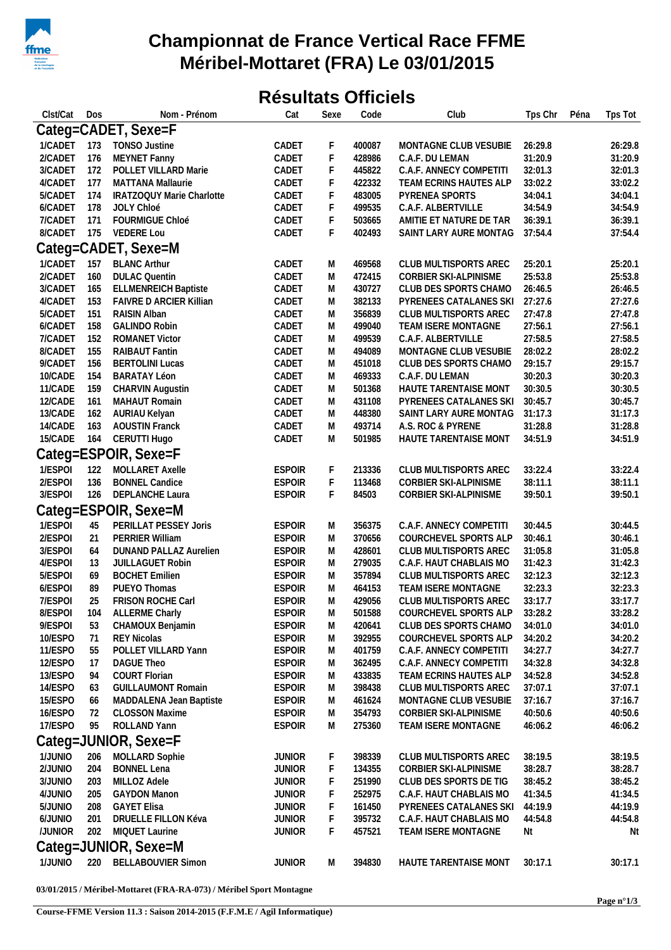

## **Championnat de France Vertical Race FFME Méribel-Mottaret (FRA) Le 03/01/2015**

## **Résultats Officiels**

| Clst/Cat    | Dos | Nom - Prénom                | Cat           | Sexe        | Code   | Club                          | Tps Chr            | Péna               | Tps Tot |  |
|-------------|-----|-----------------------------|---------------|-------------|--------|-------------------------------|--------------------|--------------------|---------|--|
|             |     | Categ=CADET, Sexe=F         |               |             |        |                               |                    |                    |         |  |
|             |     | 1/CADET 173 TONSO Justine   | CADET         | F           | 400087 | MONTAGNE CLUB VESUBIE         | 26:29.8            |                    | 26:29.8 |  |
| 2/CADET     | 176 | MEYNET Fanny                | CADET         | $\mathsf F$ | 428986 | C.A.F. DU LEMAN               | 31:20.9            |                    | 31:20.9 |  |
| 3/CADET 172 |     | POLLET VILLARD Marie        | CADET         | F           | 445822 | C.A.F. ANNECY COMPETITI       | 32:01.3            | 32:01.3            |         |  |
| 4/CADET     | 177 | <b>MATTANA Mallaurie</b>    | CADET         | F           | 422332 | TEAM ECRINS HAUTES ALP        | 33:02.2            | 33:02.2            |         |  |
| 5/CADET     | 174 | IRATZOQUY Marie Charlotte   | CADET         | F           | 483005 | PYRENEA SPORTS                | 34:04.1            | 34:04.1            |         |  |
| 6/CADET     | 178 | JOLY Chloé                  | CADET         | $\mathsf F$ | 499535 | C.A.F. ALBERTVILLE            | 34:54.9<br>34:54.9 |                    |         |  |
| 7/CADET 171 |     | FOURMIGUE Chloé             | CADET         | F           | 503665 | AMITIE ET NATURE DE TAR       | 36:39.1<br>36:39.1 |                    |         |  |
|             |     | 8/CADET 175 VEDERE Lou      | CADET         | F           | 402493 | SAINT LARY AURE MONTAG        | 37:54.4            |                    | 37:54.4 |  |
|             |     | Categ=CADET, Sexe=M         |               |             |        |                               |                    |                    |         |  |
| 1/CADET     |     | 157 BLANC Arthur            | CADET         | M           | 469568 | CLUB MULTISPORTS AREC         | 25:20.1            |                    | 25:20.1 |  |
| 2/CADET     | 160 | <b>DULAC Quentin</b>        | CADET         | M           | 472415 | CORBIER SKI-ALPINISME         | 25:53.8            |                    | 25:53.8 |  |
| 3/CADET 165 |     | <b>ELLMENREICH Baptiste</b> | CADET         | M           | 430727 | CLUB DES SPORTS CHAMO         | 26:46.5            |                    | 26:46.5 |  |
| 4/CADET     | 153 | FAIVRE D ARCIER Killian     | CADET         | M           | 382133 | PYRENEES CATALANES SKI        | 27:27.6            |                    | 27:27.6 |  |
| 5/CADET     | 151 | RAISIN Alban                | CADET         | M           | 356839 | CLUB MULTISPORTS AREC         | 27:47.8            |                    | 27:47.8 |  |
| 6/CADET     | 158 | <b>GALINDO Robin</b>        | CADET         | M           | 499040 | TEAM ISERE MONTAGNE           | 27:56.1            |                    | 27:56.1 |  |
| 7/CADET     | 152 | <b>ROMANET Victor</b>       | CADET         | M           | 499539 | C.A.F. ALBERTVILLE            | 27:58.5            |                    | 27:58.5 |  |
| 8/CADET     | 155 | RAIBAUT Fantin              | CADET         | M           | 494089 | MONTAGNE CLUB VESUBIE         | 28:02.2            |                    | 28:02.2 |  |
| 9/CADET     | 156 | <b>BERTOLINI Lucas</b>      | CADET         | M           | 451018 | CLUB DES SPORTS CHAMO         | 29:15.7            |                    | 29:15.7 |  |
| 10/CADE     | 154 | <b>BARATAY Léon</b>         | CADET         | M           | 469333 | C.A.F. DU LEMAN               | 30:20.3            |                    | 30:20.3 |  |
| 11/CADE     | 159 | CHARVIN Augustin            | CADET         | M           | 501368 | HAUTE TARENTAISE MONT         | 30:30.5            |                    | 30:30.5 |  |
| 12/CADE     | 161 | MAHAUT Romain               | CADET         | M           | 431108 | PYRENEES CATALANES SKI        | 30:45.7            |                    | 30:45.7 |  |
| 13/CADE     | 162 | AURIAU Kelyan               | CADET         | M           | 448380 | SAINT LARY AURE MONTAG        | 31:17.3            |                    | 31:17.3 |  |
| 14/CADE     | 163 | <b>AOUSTIN Franck</b>       | CADET         | M           | 493714 | A.S. ROC & PYRENE             |                    | 31:28.8<br>31:28.8 |         |  |
| 15/CADE     | 164 | CERUTTI Hugo                | CADET         | M           | 501985 | HAUTE TARENTAISE MONT         | 34:51.9            |                    | 34:51.9 |  |
|             |     | Categ=ESPOIR, Sexe=F        |               |             |        |                               |                    |                    |         |  |
| 1/ESPOI     | 122 | MOLLARET Axelle             | <b>ESPOIR</b> | F           | 213336 | CLUB MULTISPORTS AREC         | 33:22.4            |                    | 33:22.4 |  |
| 2/ESPOI     | 136 | <b>BONNEL Candice</b>       | <b>ESPOIR</b> | F           | 113468 | CORBIER SKI-ALPINISME         | 38:11.1            |                    | 38:11.1 |  |
| 3/ESPOI     | 126 | DEPLANCHE Laura             | <b>ESPOIR</b> | F           | 84503  | CORBIER SKI-ALPINISME         | 39:50.1            |                    | 39:50.1 |  |
|             |     | Categ=ESPOIR, Sexe=M        |               |             |        |                               |                    |                    |         |  |
| 1/ESPOI     | 45  | PERILLAT PESSEY Joris       | <b>ESPOIR</b> | M           | 356375 | C.A.F. ANNECY COMPETITI       | 30:44.5            |                    | 30:44.5 |  |
| 2/ESPOI     | 21  | PERRIER William             | <b>ESPOIR</b> | M           | 370656 | COURCHEVEL SPORTS ALP         | 30:46.1            |                    | 30:46.1 |  |
| 3/ESPOI     | 64  | DUNAND PALLAZ Aurelien      | <b>ESPOIR</b> | M           | 428601 | CLUB MULTISPORTS AREC         | 31:05.8            |                    | 31:05.8 |  |
| 4/ESPOI     | 13  | <b>JUILLAGUET Robin</b>     | <b>ESPOIR</b> | M           | 279035 | C.A.F. HAUT CHABLAIS MO       | 31:42.3            |                    | 31:42.3 |  |
| 5/ESPOI     | 69  | <b>BOCHET Emilien</b>       | <b>ESPOIR</b> | M           | 357894 | CLUB MULTISPORTS AREC         | 32:12.3            |                    | 32:12.3 |  |
| 6/ESPOI     | 89  | PUEYO Thomas                | <b>ESPOIR</b> | M           | 464153 | TEAM ISERE MONTAGNE           | 32:23.3            |                    | 32:23.3 |  |
| 7/ESPOI     | 25  | <b>FRISON ROCHE Carl</b>    | <b>ESPOIR</b> | M           | 429056 | CLUB MULTISPORTS AREC         | 33:17.7            |                    | 33:17.7 |  |
| 8/ESPOI     | 104 | <b>ALLERME Charly</b>       | <b>ESPOIR</b> | M           | 501588 | COURCHEVEL SPORTS ALP 33:28.2 |                    |                    | 33:28.2 |  |
| 9/ESPOI     | 53  | CHAMOUX Benjamin            | <b>ESPOIR</b> | M           | 420641 | CLUB DES SPORTS CHAMO         | 34:01.0            |                    | 34:01.0 |  |
| 10/ESPO     | -71 | <b>REY Nicolas</b>          | <b>ESPOIR</b> | M           | 392955 | COURCHEVEL SPORTS ALP         | 34:20.2            |                    | 34:20.2 |  |
| 11/ESPO     | 55  | POLLET VILLARD Yann         | <b>ESPOIR</b> | M           | 401759 | C.A.F. ANNECY COMPETITI       | 34:27.7            |                    | 34:27.7 |  |
| 12/ESPO     | -17 | <b>DAGUE Theo</b>           | <b>ESPOIR</b> | M           | 362495 | C.A.F. ANNECY COMPETITI       | 34:32.8            |                    | 34:32.8 |  |
| 13/ESPO     | 94  | COURT Florian               | <b>ESPOIR</b> | M           | 433835 | TEAM ECRINS HAUTES ALP        | 34:52.8            |                    | 34:52.8 |  |
| 14/ESPO     | 63  | <b>GUILLAUMONT Romain</b>   | <b>ESPOIR</b> | M           | 398438 | CLUB MULTISPORTS AREC         | 37:07.1            |                    | 37:07.1 |  |
| 15/ESPO     | 66  | MADDALENA Jean Baptiste     | <b>ESPOIR</b> | M           | 461624 | MONTAGNE CLUB VESUBIE         | 37:16.7            |                    | 37:16.7 |  |
| 16/ESPO     | 72  | <b>CLOSSON Maxime</b>       | <b>ESPOIR</b> | M           | 354793 | CORBIER SKI-ALPINISME         | 40:50.6            |                    | 40:50.6 |  |
| 17/ESPO     | 95  | ROLLAND Yann                | <b>ESPOIR</b> | M           | 275360 | TEAM ISERE MONTAGNE           | 46:06.2            |                    | 46:06.2 |  |
|             |     | Categ=JUNIOR, Sexe=F        |               |             |        |                               |                    |                    |         |  |
| 1/JUNIO     | 206 | MOLLARD Sophie              | JUNIOR        | F           | 398339 | CLUB MULTISPORTS AREC         | 38:19.5            |                    | 38:19.5 |  |
| 2/JUNIO     | 204 | <b>BONNEL Lena</b>          | <b>JUNIOR</b> | F           | 134355 | CORBIER SKI-ALPINISME         | 38:28.7            |                    | 38:28.7 |  |
| 3/JUNIO     | 203 | MILLOZ Adele                | <b>JUNIOR</b> | F           | 251990 | CLUB DES SPORTS DE TIG        | 38:45.2            |                    | 38:45.2 |  |
| 4/JUNIO     | 205 | <b>GAYDON Manon</b>         | JUNIOR        | F           | 252975 | C.A.F. HAUT CHABLAIS MO       | 41:34.5            |                    | 41:34.5 |  |
| 5/JUNIO     | 208 | <b>GAYET Elisa</b>          | <b>JUNIOR</b> | F           | 161450 | PYRENEES CATALANES SKI        | 44:19.9            |                    | 44:19.9 |  |
| 6/JUNIO     | 201 | DRUELLE FILLON Kéva         | <b>JUNIOR</b> | F           | 395732 | C.A.F. HAUT CHABLAIS MO       | 44:54.8            |                    | 44:54.8 |  |
| /JUNIOR     | 202 | MIQUET Laurine              | <b>JUNIOR</b> | F           | 457521 | TEAM ISERE MONTAGNE           | Nt                 |                    | Nt      |  |
|             |     | Categ=JUNIOR, Sexe=M        |               |             |        |                               |                    |                    |         |  |
| 1/JUNIO     |     | 220 BELLABOUVIER Simon      | <b>JUNIOR</b> | M           | 394830 | HAUTE TARENTAISE MONT         | 30:17.1            |                    | 30:17.1 |  |
|             |     |                             |               |             |        |                               |                    |                    |         |  |

**03/01/2015 / Méribel-Mottaret (FRA-RA-073) / Méribel Sport Montagne**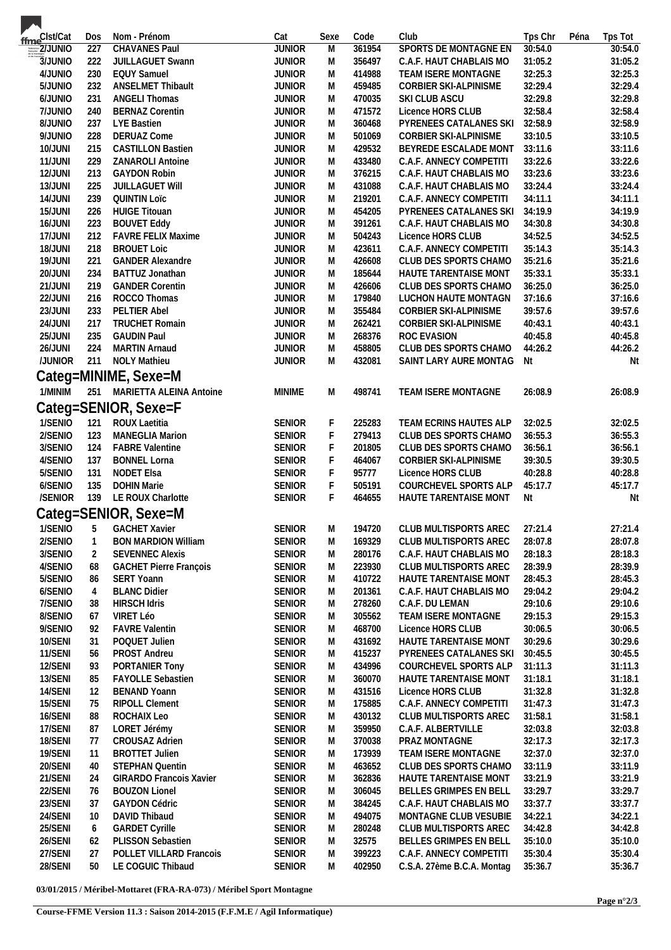| ffme <sup>Clst/Cat</sup>     | Dos            | Nom - Prénom                          | Cat           | Sexe           | Code   | Club                         | Tps Chr            | Péna               | Tps Tot |  |
|------------------------------|----------------|---------------------------------------|---------------|----------------|--------|------------------------------|--------------------|--------------------|---------|--|
| $\frac{1}{\sqrt{2}}$ 2/JUNIO | 227            | <b>CHAVANES Paul</b>                  | <b>JUNIOR</b> | $\overline{M}$ | 361954 | SPORTS DE MONTAGNE EN        | 30:54.0            |                    | 30:54.0 |  |
| 3/JUNIO                      | 222            | JUILLAGUET Swann                      | <b>JUNIOR</b> | M              | 356497 | C.A.F. HAUT CHABLAIS MO      | 31:05.2            |                    | 31:05.2 |  |
| 4/JUNIO                      | 230            | <b>EQUY Samuel</b>                    | <b>JUNIOR</b> | M              | 414988 | TEAM ISERE MONTAGNE          | 32:25.3            |                    | 32:25.3 |  |
| 5/JUNIO                      | 232            | <b>ANSELMET Thibault</b>              | <b>JUNIOR</b> | M              | 459485 | CORBIER SKI-ALPINISME        | 32:29.4            |                    | 32:29.4 |  |
| 6/JUNIO                      | 231            | <b>ANGELI Thomas</b>                  | <b>JUNIOR</b> | M              | 470035 | SKI CLUB ASCU                | 32:29.8            |                    | 32:29.8 |  |
| 7/JUNIO                      | 240            | <b>BERNAZ Corentin</b>                | <b>JUNIOR</b> | M              | 471572 | Licence HORS CLUB            | 32:58.4            |                    | 32:58.4 |  |
| 8/JUNIO                      | 237            | LYE Bastien                           | <b>JUNIOR</b> | M              | 360468 | PYRENEES CATALANES SKI       | 32:58.9            |                    | 32:58.9 |  |
| 9/JUNIO                      | 228            | <b>DERUAZ Come</b>                    | <b>JUNIOR</b> | M              | 501069 | CORBIER SKI-ALPINISME        | 33:10.5            |                    | 33:10.5 |  |
| 10/JUNI                      | 215            | <b>CASTILLON Bastien</b>              | <b>JUNIOR</b> | M              | 429532 | BEYREDE ESCALADE MONT        | 33:11.6            |                    | 33:11.6 |  |
| 11/JUNI                      | 229            | ZANAROLI Antoine                      | <b>JUNIOR</b> | M              | 433480 | C.A.F. ANNECY COMPETITI      | 33:22.6            |                    | 33:22.6 |  |
| 12/JUNI                      | 213            | <b>GAYDON Robin</b>                   | <b>JUNIOR</b> | M              | 376215 | C.A.F. HAUT CHABLAIS MO      | 33:23.6            |                    | 33:23.6 |  |
| 13/JUNI                      | 225            | <b>JUILLAGUET WIII</b>                | <b>JUNIOR</b> | M              | 431088 | C.A.F. HAUT CHABLAIS MO      | 33:24.4            |                    | 33:24.4 |  |
| 14/JUNI                      | 239            | <b>QUINTIN Loïc</b>                   | <b>JUNIOR</b> | M              | 219201 | C.A.F. ANNECY COMPETITI      | 34:11.1            |                    | 34:11.1 |  |
| 15/JUNI                      | 226            | <b>HUIGE Titouan</b>                  | <b>JUNIOR</b> | M              | 454205 | PYRENEES CATALANES SKI       | 34:19.9            |                    | 34:19.9 |  |
| 16/JUNI                      | 223            | <b>BOUVET Eddy</b>                    | <b>JUNIOR</b> | M              | 391261 | C.A.F. HAUT CHABLAIS MO      |                    | 34:30.8<br>34:30.8 |         |  |
| 17/JUNI                      | 212            | FAVRE FELIX Maxime                    | <b>JUNIOR</b> | M              | 504243 | Licence HORS CLUB            |                    | 34:52.5<br>34:52.5 |         |  |
| 18/JUNI                      | 218            | <b>BROUET Loic</b>                    | <b>JUNIOR</b> | M              | 423611 | C.A.F. ANNECY COMPETITI      | 35:14.3<br>35:14.3 |                    |         |  |
| 19/JUNI                      | 221            | <b>GANDER Alexandre</b>               | <b>JUNIOR</b> | M              | 426608 | CLUB DES SPORTS CHAMO        | 35:21.6<br>35:21.6 |                    |         |  |
| 20/JUNI                      | 234            | BATTUZ Jonathan                       | <b>JUNIOR</b> | M              | 185644 | HAUTE TARENTAISE MONT        | 35:33.1            |                    | 35:33.1 |  |
| 21/JUNI                      | 219            | <b>GANDER Corentin</b>                | <b>JUNIOR</b> | M              | 426606 | CLUB DES SPORTS CHAMO        | 36:25.0            |                    | 36:25.0 |  |
| 22/JUNI                      | 216            | ROCCO Thomas                          | <b>JUNIOR</b> | M              | 179840 | LUCHON HAUTE MONTAGN         | 37:16.6            |                    | 37:16.6 |  |
| 23/JUNI                      | 233            | PELTIER Abel<br><b>TRUCHET Romain</b> | <b>JUNIOR</b> | M              | 355484 | CORBIER SKI-ALPINISME        | 39:57.6            |                    | 39:57.6 |  |
| 24/JUNI                      | 217            |                                       | <b>JUNIOR</b> | M              | 262421 | CORBIER SKI-ALPINISME        | 40:43.1            |                    | 40:43.1 |  |
| 25/JUNI                      | 235            | <b>GAUDIN Paul</b>                    | <b>JUNIOR</b> | M              | 268376 | ROC EVASION                  | 40:45.8            |                    | 40:45.8 |  |
| 26/JUNI                      | 224            | MARTIN Arnaud                         | <b>JUNIOR</b> | M              | 458805 | CLUB DES SPORTS CHAMO        | 44:26.2            |                    | 44:26.2 |  |
| /JUNIOR                      |                | 211 NOLY Mathieu                      | <b>JUNIOR</b> | M              | 432081 | SAINT LARY AURE MONTAG       | Nt                 |                    | Nt      |  |
|                              |                | Categ=MINIME, Sexe=M                  |               |                |        |                              |                    |                    |         |  |
| 1/MINIM                      |                | 251 MARIETTA ALEINA Antoine           | <b>MINIME</b> | M              | 498741 | TEAM ISERE MONTAGNE          | 26:08.9            |                    | 26:08.9 |  |
|                              |                | Categ=SENIOR, Sexe=F                  |               |                |        |                              |                    |                    |         |  |
| 1/SENIO                      | 121            | ROUX Laetitia                         | SENIOR        | F              | 225283 | TEAM ECRINS HAUTES ALP       | 32:02.5            |                    | 32:02.5 |  |
| 2/SENIO                      | 123            | MANEGLIA Marion                       | <b>SENIOR</b> | $\mathsf F$    | 279413 | CLUB DES SPORTS CHAMO        | 36:55.3            |                    | 36:55.3 |  |
| 3/SENIO                      | 124            | <b>FABRE Valentine</b>                | <b>SENIOR</b> | $\mathsf F$    | 201805 | CLUB DES SPORTS CHAMO        | 36:56.1            |                    | 36:56.1 |  |
| 4/SENIO                      | 137            | <b>BONNEL Lorna</b>                   | <b>SENIOR</b> | F              | 464067 | CORBIER SKI-ALPINISME        | 39:30.5            |                    | 39:30.5 |  |
| 5/SENIO                      | 131            | NODET Elsa                            | <b>SENIOR</b> | $\mathsf F$    | 95777  | Licence HORS CLUB            | 40:28.8            |                    | 40:28.8 |  |
| 6/SENIO                      | 135            | <b>DOHIN Marie</b>                    | <b>SENIOR</b> | $\mathsf F$    | 505191 | COURCHEVEL SPORTS ALP        | 45:17.7            |                    | 45:17.7 |  |
| /SENIOR                      |                | 139 LE ROUX Charlotte                 | <b>SENIOR</b> | $\mathsf F$    | 464655 | HAUTE TARENTAISE MONT        | Nt                 |                    | Nt      |  |
|                              |                |                                       |               |                |        |                              |                    |                    |         |  |
|                              |                | Categ=SENIOR, Sexe=M                  |               |                |        |                              |                    |                    |         |  |
| 1/SENIO                      | 5              | <b>GACHET Xavier</b>                  | <b>SENIOR</b> | M              | 194720 | CLUB MULTISPORTS AREC        | 27:21.4            |                    | 27:21.4 |  |
| 2/SENIO                      |                | <b>BON MARDION William</b>            | <b>SENIOR</b> | M              | 169329 | CLUB MULTISPORTS AREC        | 28:07.8            |                    | 28:07.8 |  |
| 3/SENIO                      | 2              | <b>SEVENNEC Alexis</b>                | <b>SENIOR</b> | M              | 280176 | C.A.F. HAUT CHABLAIS MO      | 28:18.3            |                    | 28:18.3 |  |
| 4/SENIO                      | 68             | <b>GACHET Pierre François</b>         | <b>SENIOR</b> | M              | 223930 | <b>CLUB MULTISPORTS AREC</b> | 28:39.9            |                    | 28:39.9 |  |
| 5/SENIO                      | 86             | SERT Yoann                            | <b>SENIOR</b> | M              | 410722 | HAUTE TARENTAISE MONT        | 28:45.3            |                    | 28:45.3 |  |
| 6/SENIO                      | $\overline{4}$ | <b>BLANC Didier</b>                   | <b>SENIOR</b> | M              | 201361 | C.A.F. HAUT CHABLAIS MO      | 29:04.2            |                    | 29:04.2 |  |
| 7/SENIO                      | 38             | <b>HIRSCH Idris</b>                   | <b>SENIOR</b> | M              | 278260 | C.A.F. DU LEMAN              | 29:10.6            |                    | 29:10.6 |  |
| 8/SENIO                      | 67             | VIRET Léo                             | <b>SENIOR</b> | M              | 305562 | TEAM ISERE MONTAGNE          | 29:15.3            |                    | 29:15.3 |  |
| 9/SENIO                      | 92             | <b>FAVRE Valentin</b>                 | <b>SENIOR</b> | M              | 468700 | Licence HORS CLUB            | 30:06.5            |                    | 30:06.5 |  |
| 10/SENI                      | 31             | POQUET Julien                         | <b>SENIOR</b> | M              | 431692 | HAUTE TARENTAISE MONT        | 30:29.6            |                    | 30:29.6 |  |
| 11/SENI                      | 56             | PROST Andreu                          | <b>SENIOR</b> | M              | 415237 | PYRENEES CATALANES SKI       | 30:45.5            |                    | 30:45.5 |  |
| 12/SENI                      | 93             | PORTANIER Tony                        | <b>SENIOR</b> | M              | 434996 | COURCHEVEL SPORTS ALP        | 31:11.3            |                    | 31:11.3 |  |
| 13/SENI                      | 85             | FAYOLLE Sebastien                     | <b>SENIOR</b> | M              | 360070 | HAUTE TARENTAISE MONT        | 31:18.1            |                    | 31:18.1 |  |
| 14/SENI                      | 12             | <b>BENAND Yoann</b>                   | <b>SENIOR</b> | M              | 431516 | Licence HORS CLUB            | 31:32.8            |                    | 31:32.8 |  |
| 15/SENI                      | 75             | RIPOLL Clement                        | <b>SENIOR</b> | M              | 175885 | C.A.F. ANNECY COMPETITI      | 31:47.3            |                    | 31:47.3 |  |
| 16/SENI                      | 88             | ROCHAIX Leo                           | <b>SENIOR</b> | M              | 430132 | <b>CLUB MULTISPORTS AREC</b> | 31:58.1            |                    | 31:58.1 |  |
| 17/SENI                      | 87             | LORET Jérémy                          | <b>SENIOR</b> | M              | 359950 | C.A.F. ALBERTVILLE           | 32:03.8            |                    | 32:03.8 |  |
| 18/SENI                      | 77             | CROUSAZ Adrien                        | <b>SENIOR</b> | M              | 370038 | PRAZ MONTAGNE                | 32:17.3            |                    | 32:17.3 |  |
| 19/SENI                      | 11             | <b>BROTTET Julien</b>                 | <b>SENIOR</b> | M              | 173939 | TEAM ISERE MONTAGNE          | 32:37.0            |                    | 32:37.0 |  |
| 20/SENI                      | 40             | <b>STEPHAN Quentin</b>                | <b>SENIOR</b> | M              | 463652 | CLUB DES SPORTS CHAMO        | 33:11.9            |                    | 33:11.9 |  |
| 21/SENI                      | 24             | <b>GIRARDO Francois Xavier</b>        | <b>SENIOR</b> | M              | 362836 | HAUTE TARENTAISE MONT        | 33:21.9            |                    | 33:21.9 |  |
| 22/SENI                      | 76             | <b>BOUZON Lionel</b>                  | <b>SENIOR</b> | M              | 306045 | BELLES GRIMPES EN BELL       | 33:29.7            |                    | 33:29.7 |  |
| 23/SENI                      | 37             | <b>GAYDON Cédric</b>                  | <b>SENIOR</b> | M              | 384245 | C.A.F. HAUT CHABLAIS MO      | 33:37.7            |                    | 33:37.7 |  |
| 24/SENI                      | 10             | DAVID Thibaud                         | <b>SENIOR</b> | M              | 494075 | MONTAGNE CLUB VESUBIE        | 34:22.1            |                    | 34:22.1 |  |
| 25/SENI                      | 6              | <b>GARDET Cyrille</b>                 | <b>SENIOR</b> | M              | 280248 | CLUB MULTISPORTS AREC        | 34:42.8            |                    | 34:42.8 |  |
| 26/SENI                      | 62             | PLISSON Sebastien                     | <b>SENIOR</b> | M              | 32575  | BELLES GRIMPES EN BELL       | 35:10.0            |                    | 35:10.0 |  |
| 27/SENI                      | 27             | POLLET VILLARD Francois               | <b>SENIOR</b> | M              | 399223 | C.A.F. ANNECY COMPETITI      | 35:30.4            |                    | 35:30.4 |  |
| 28/SENI                      | 50             | LE COGUIC Thibaud                     | <b>SENIOR</b> | M              | 402950 | C.S.A. 27ème B.C.A. Montag   | 35:36.7            |                    | 35:36.7 |  |

**03/01/2015 / Méribel-Mottaret (FRA-RA-073) / Méribel Sport Montagne**